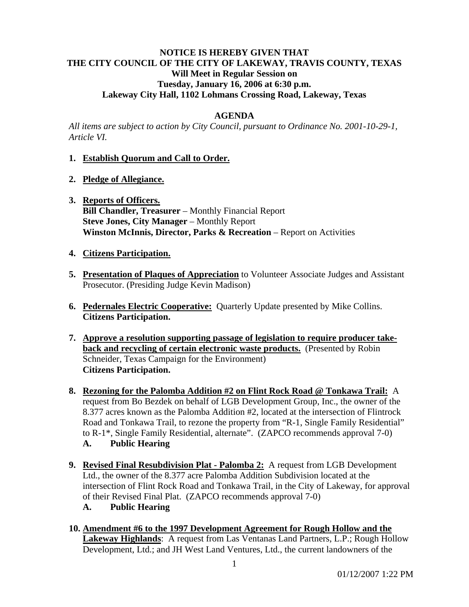# **NOTICE IS HEREBY GIVEN THAT THE CITY COUNCIL OF THE CITY OF LAKEWAY, TRAVIS COUNTY, TEXAS Will Meet in Regular Session on Tuesday, January 16, 2006 at 6:30 p.m. Lakeway City Hall, 1102 Lohmans Crossing Road, Lakeway, Texas**

## **AGENDA**

*All items are subject to action by City Council, pursuant to Ordinance No. 2001-10-29-1, Article VI.* 

## **1. Establish Quorum and Call to Order.**

- **2. Pledge of Allegiance.**
- **3. Reports of Officers. Bill Chandler, Treasurer** – Monthly Financial Report **Steve Jones, City Manager** – Monthly Report **Winston McInnis, Director, Parks & Recreation** – Report on Activities

## **4. Citizens Participation.**

- **5. Presentation of Plaques of Appreciation** to Volunteer Associate Judges and Assistant Prosecutor. (Presiding Judge Kevin Madison)
- **6. Pedernales Electric Cooperative:** Quarterly Update presented by Mike Collins. **Citizens Participation.**
- **7. Approve a resolution supporting passage of legislation to require producer takeback and recycling of certain electronic waste products.** (Presented by Robin Schneider, Texas Campaign for the Environment) **Citizens Participation.**
- **8. Rezoning for the Palomba Addition #2 on Flint Rock Road @ Tonkawa Trail:** A request from Bo Bezdek on behalf of LGB Development Group, Inc., the owner of the 8.377 acres known as the Palomba Addition #2, located at the intersection of Flintrock Road and Tonkawa Trail, to rezone the property from "R-1, Single Family Residential" to R-1\*, Single Family Residential, alternate". (ZAPCO recommends approval 7-0) **A. Public Hearing**
- **9. Revised Final Resubdivision Plat Palomba 2:** A request from LGB Development Ltd., the owner of the 8.377 acre Palomba Addition Subdivision located at the intersection of Flint Rock Road and Tonkawa Trail, in the City of Lakeway, for approval of their Revised Final Plat. (ZAPCO recommends approval 7-0)
	- **A. Public Hearing**
- **10. Amendment #6 to the 1997 Development Agreement for Rough Hollow and the Lakeway Highlands**: A request from Las Ventanas Land Partners, L.P.; Rough Hollow Development, Ltd.; and JH West Land Ventures, Ltd., the current landowners of the